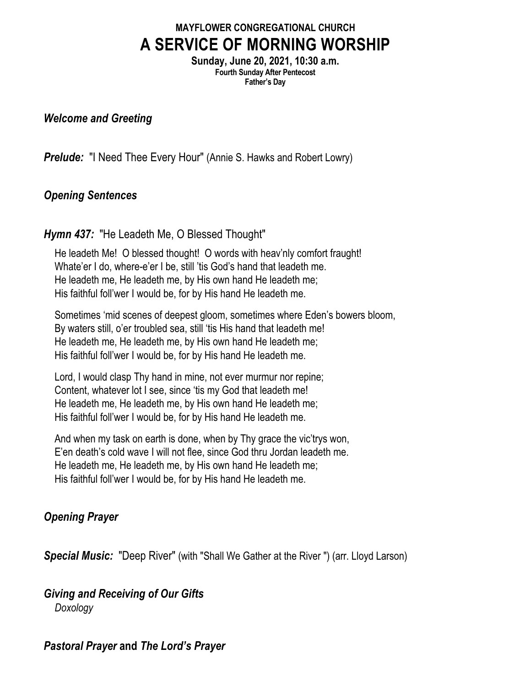## **MAYFLOWER CONGREGATIONAL CHURCH A SERVICE OF MORNING WORSHIP**

**Sunday, June 20, 2021, 10:30 a.m. Fourth Sunday After Pentecost Father's Day**

#### *Welcome and Greeting*

**Prelude:** "I Need Thee Every Hour" (Annie S. Hawks and Robert Lowry)

### *Opening Sentences*

#### *Hymn 437:* "He Leadeth Me, O Blessed Thought"

He leadeth Me! O blessed thought! O words with heav'nly comfort fraught! Whate'er I do, where-e'er I be, still 'tis God's hand that leadeth me. He leadeth me, He leadeth me, by His own hand He leadeth me; His faithful foll'wer I would be, for by His hand He leadeth me.

Sometimes 'mid scenes of deepest gloom, sometimes where Eden's bowers bloom, By waters still, o'er troubled sea, still 'tis His hand that leadeth me! He leadeth me, He leadeth me, by His own hand He leadeth me; His faithful foll'wer I would be, for by His hand He leadeth me.

Lord, I would clasp Thy hand in mine, not ever murmur nor repine; Content, whatever lot I see, since 'tis my God that leadeth me! He leadeth me, He leadeth me, by His own hand He leadeth me; His faithful foll'wer I would be, for by His hand He leadeth me.

And when my task on earth is done, when by Thy grace the vic'trys won, E'en death's cold wave I will not flee, since God thru Jordan leadeth me. He leadeth me, He leadeth me, by His own hand He leadeth me; His faithful foll'wer I would be, for by His hand He leadeth me.

### *Opening Prayer*

*Special Music:* "Deep River" (with "Shall We Gather at the River ") (arr. Lloyd Larson)

#### *Giving and Receiving of Our Gifts Doxology*

### *Pastoral Prayer* **and** *The Lord's Prayer*